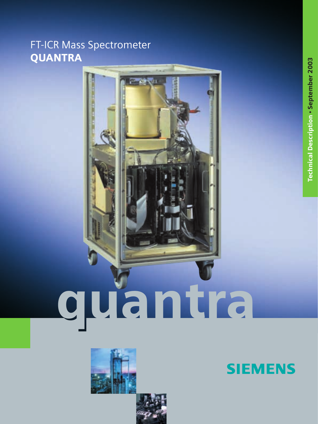# FT-ICR Mass Spectrometer **QUANTRA**







**Technical Description · September 2003** Technical Description • September 2003

**SIEMENS**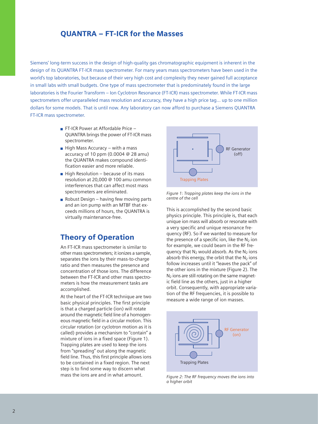### QUANTRA – FT-ICR for the Masses

Siemens' long-term success in the design of high-quality gas chromatographic equipment is inherent in the design of its QUANTRA FT-ICR mass spectrometer. For many years mass spectrometers have been used in the world's top laboratories, but because of their very high cost and complexity they never gained full acceptance in small labs with small budgets. One type of mass spectrometer that is predominately found in the large laboratories is the Fourier Transform – Ion Cyclotron Resonance (FT-ICR) mass spectrometer. While FT-ICR mass spectrometers offer unparalleled mass resolution and accuracy, they have a high price tag… up to one million dollars for some models. That is until now. Any laboratory can now afford to purchase a Siemens QUANTRA FT-ICR mass spectrometer.

- **FT-ICR Power at Affordable Price** QUANTRA brings the power of FT-ICR mass spectrometer.
- $\blacksquare$  High Mass Accuracy with a mass accuracy of 10 ppm (0.0004 @ 28 amu) the QUANTRA makes compound identification easier and more reliable.
- $\blacksquare$  High Resolution because of its mass resolution at 20,000 @ 100 amu common interferences that can affect most mass spectrometers are eliminated.
- $\blacksquare$  Robust Design having few moving parts and an ion pump with an MTBF that exceeds millions of hours, the QUANTRA is virtually maintenance-free.

## Theory of Operation

An FT-ICR mass spectrometer is similar to other mass spectrometers; it ionizes a sample, separates the ions by their mass-to-charge ratio and then measures the presence and concentration of those ions. The difference between the FT-ICR and other mass spectrometers is how the measurement tasks are accomplished.

At the heart of the FT-ICR technique are two basic physical principles. The first principle is that a charged particle (ion) will rotate around the magnetic field line of a homogeneous magnetic field in a circular motion. This circular rotation (or cyclotron motion as it is called) provides a mechanism to "contain" a mixture of ions in a fixed space (Figure 1). Trapping plates are used to keep the ions from "spreading" out along the magnetic field line. Thus, this first principle allows ions to be contained in a fixed region. The next step is to find some way to discern what mass the ions are and in what amount.



*Figure 1: Trapping plates keep the ions in the centre of the cell*

This is accomplished by the second basic physics principle. This principle is, that each unique ion mass will absorb or resonate with a very specific and unique resonance frequency (RF). So if we wanted to measure for the presence of a specific ion, like the  $N_2$  ion for example, we could beam in the RF frequency that  $N_2$  would absorb. As the  $N_2$  ions absorb this energy, the orbit that the  $N_2$  ions follow increases until it "leaves the pack" of the other ions in the mixture (Figure 2). The  $N<sub>2</sub>$  ions are still rotating on the same magnetic field line as the others, just in a higher orbit. Consequently, with appropriate variation of the RF frequencies, it is possible to measure a wide range of ion masses.



*Figure 2: The RF frequency moves the ions into a higher orbit*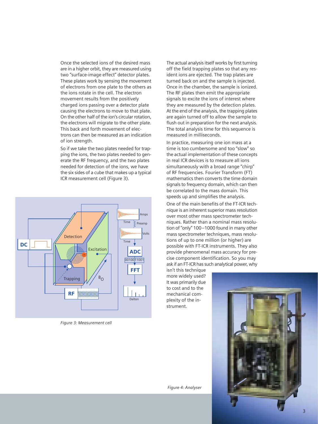Once the selected ions of the desired mass are in a higher orbit, they are measured using two "surface-image effect" detector plates. These plates work by sensing the movement of electrons from one plate to the others as the ions rotate in the cell. The electron movement results from the positively charged ions passing over a detector plate causing the electrons to move to that plate. On the other half of the ion's circular rotation, the electrons will migrate to the other plate. This back and forth movement of electrons can then be measured as an indication of ion strength.

So if we take the two plates needed for trapping the ions, the two plates needed to generate the RF frequency, and the two plates needed for detection of the ions, we have the six sides of a cube that makes up a typical ICR measurement cell (Figure 3).



*Figure 3: Measurement cell*

The actual analysis itself works by first turning off the field trapping plates so that any resident ions are ejected. The trap plates are turned back on and the sample is injected. Once in the chamber, the sample is ionized. The RF plates then emit the appropriate signals to excite the ions of interest where they are measured by the detection plates. At the end of the analysis, the trapping plates are again turned off to allow the sample to flush out in preparation for the next analysis. The total analysis time for this sequence is measured in milliseconds.

In practice, measuring one ion mass at a time is too cumbersome and too "slow" so the actual implementation of these concepts in real ICR devices is to measure all ions simultaneously with a broad range "chirp" of RF frequencies. Fourier Transform (FT) mathematics then converts the time domain signals to frequency domain, which can then be correlated to the mass domain. This speeds up and simplifies the analysis.

One of the main benefits of the FT-ICR technique is an inherent superior mass resolution over most other mass spectrometer techniques. Rather than a nominal mass resolution of "only" 100–1000 found in many other mass spectrometer techniques, mass resolutions of up to one million (or higher) are possible with FT-ICR instruments. They also provide phenomenal mass accuracy for precise component identification. So you may ask if an FT-ICR has such analytical power, why

isn't this technique more widely used? It was primarily due to cost and to the mechanical complexity of the instrument.



 *Figure 4: Analyser*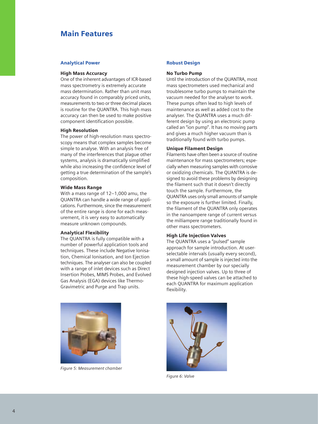## Main Features

#### Analytical Power

#### High Mass Accuracy

One of the inherent advantages of ICR-based mass spectrometry is extremely accurate mass determination. Rather than unit mass accuracy found in comparably priced units, measurements to two or three decimal places is routine for the QUANTRA. This high mass accuracy can then be used to make positive component identification possible.

#### High Resolution

The power of high-resolution mass spectroscopy means that complex samples become simple to analyse. With an analysis free of many of the interferences that plague other systems, analysis is dramatically simplified while also increasing the confidence level of getting a true determination of the sample's composition.

#### Wide Mass Range

With a mass range of 12–1,000 amu, the QUANTRA can handle a wide range of applications. Furthermore, since the measurement of the entire range is done for each measurement, it is very easy to automatically measure unknown compounds.

#### Analytical Flexibility

The QUANTRA is fully compatible with a number of powerful application tools and techniques. These include Negative Ionisation, Chemical Ionisation, and Ion Ejection techniques. The analyser can also be coupled with a range of inlet devices such as Direct Insertion Probes, MIMS Probes, and Evolved Gas Analysis (EGA) devices like Thermo-Gravimetric and Purge and Trap units.



*Figure 5: Measurement chamber*

#### Robust Design

#### No Turbo Pump

Until the introduction of the QUANTRA, most mass spectrometers used mechanical and troublesome turbo pumps to maintain the vacuum needed for the analyser to work. These pumps often lead to high levels of maintenance as well as added cost to the analyser. The QUANTRA uses a much different design by using an electronic pump called an "ion pump". It has no moving parts and gives a much higher vacuum than is traditionally found with turbo pumps.

#### Unique Filament Design

Filaments have often been a source of routine maintenance for mass spectrometers; especially when measuring samples with corrosive or oxidizing chemicals. The QUANTRA is designed to avoid these problems by designing the filament such that it doesn't directly touch the sample. Furthermore, the QUANTRA uses only small amounts of sample so the exposure is further limited. Finally, the filament of the QUANTRA only operates in the nanoampere range of current versus the milliampere range traditionally found in other mass spectrometers.

#### High Life Injection Valves

The QUANTRA uses a "pulsed" sample approach for sample introduction. At userselectable intervals (usually every second), a small amount of sample is injected into the measurement chamber by our specially designed injection valves. Up to three of these high-speed valves can be attached to each QUANTRA for maximum application flexibility.



*Figure 6: Valve*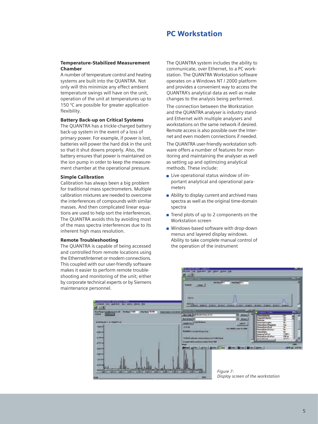### PC Workstation

#### Temperature-Stabilized Measurement Chamber

A number of temperature control and heating systems are built into the QUANTRA. Not only will this minimize any effect ambient temperature swings will have on the unit, operation of the unit at temperatures up to 150 °C are possible for greater application flexibility.

#### Battery Back-up on Critical Systems

The QUANTRA has a trickle-charged battery back-up system in the event of a loss of primary power. For example, if power is lost, batteries will power the hard disk in the unit so that it shut downs properly. Also, the battery ensures that power is maintained on the ion pump in order to keep the measurement chamber at the operational pressure.

#### Simple Calibration

Calibration has always been a big problem for traditional mass spectrometers. Multiple calibration mixtures are needed to overcome the interferences of compounds with similar masses. And then complicated linear equations are used to help sort the interferences. The QUANTRA avoids this by avoiding most of the mass spectra interferences due to its inherent high mass resolution.

#### Remote Troubleshooting

The QUANTRA is capable of being accessed and controlled from remote locations using the Ethernet/Internet or modem connections. This coupled with our user-friendly software makes it easier to perform remote troubleshooting and monitoring of the unit; either by corporate technical experts or by Siemens maintenance personnel.

The QUANTRA system includes the ability to communicate, over Ethernet, to a PC workstation. The QUANTRA Workstation software operates on a Windows NT / 2000 platform and provides a convenient way to access the QUANTRA's analytical data as well as make changes to the analysis being performed.

The connection between the Workstation and the QUANTRA analyser is industry standard Ethernet with multiple analysers and workstations on the same network if desired. Remote access is also possible over the Internet and even modem connections if needed.

The QUANTRA user-friendly workstation software offers a number of features for monitoring and maintaining the analyser as well as setting up and optimizing analytical methods. These include:

- $\blacksquare$  Live operational status window of important analytical and operational parameters
- Ability to display current and archived mass spectra as well as the original time-domain spectra
- $\blacksquare$  Trend plots of up to 2 components on the Workstation screen
- **Number** Windows-based software with drop-down menus and layered display windows. Ability to take complete manual control of the operation of the instrument

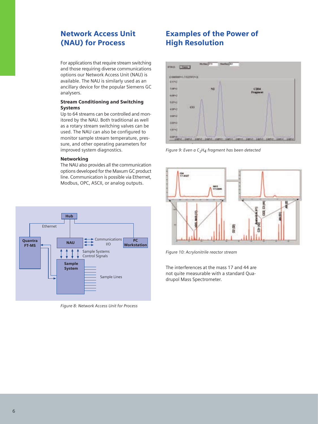# Network Access Unit (NAU) for Process

For applications that require stream switching and those requiring diverse communications options our Network Access Unit (NAU) is available. The NAU is similarly used as an ancillary device for the popular Siemens GC analysers.

#### Stream Conditioning and Switching Systems

Up to 64 streams can be controlled and monitored by the NAU. Both traditional as well as a rotary stream switching valves can be used. The NAU can also be configured to monitor sample stream temperature, pressure, and other operating parameters for improved system diagnostics.

#### Networking

The NAU also provides all the communication options developed for the Maxum GC product line. Communication is possible via Ethernet, Modbus, OPC, ASCII, or analog outputs.



*Figure 8: Network Access Unit for Process*

# Examples of the Power of High Resolution



*Figure 9: Even a C2H4 fragment has been detected*



*Figure 10: Acrylonitrile reactor stream*

The interferences at the mass 17 and 44 are not quite measurable with a standard Quadrupol Mass Spectrometer.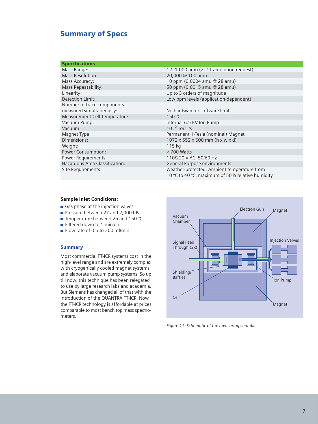# Summary of Specs

|  | <b>Specifications</b> |  |
|--|-----------------------|--|
|  |                       |  |

| Mass Range:                    | $12-1,000$ amu $(2-11)$ amu upon request)                                                       |
|--------------------------------|-------------------------------------------------------------------------------------------------|
| <b>Mass Resolution:</b>        | 20,000 @ 100 amu                                                                                |
| Mass Accuracy:                 | 10 ppm (0.0004 amu @ 28 amu)                                                                    |
| Mass Repeatability:            | 50 ppm (0.0015 amu @ 28 amu)                                                                    |
| Linearity:                     | Up to 3 orders of magnitude                                                                     |
| Detection Limit:               | Low ppm levels (application-dependent)                                                          |
| Number of trace components     |                                                                                                 |
| measured simultaneously:       | No hardware or software limit                                                                   |
| Measurement Cell Temperature:  | 150 °C                                                                                          |
| Vacuum Pump:                   | Internal 6.5 KV Ion Pump                                                                        |
| Vacuum:                        | $10^{-10}$ Torr I/s                                                                             |
| Magnet Type:                   | Permanent 1-Tesla (nominal) Magnet                                                              |
| Dimensions:                    | $1072 \times 552 \times 600$ mm (h x w x d)                                                     |
| Weight:                        | 115 kg                                                                                          |
| Power Consumption:             | $<$ 700 Watts                                                                                   |
| Power Requirements:            | 110/220 V AC, 50/60 Hz                                                                          |
| Hazardous Area Classification: | General Purpose environments                                                                    |
| Site Requirements:             | Weather-protected. Ambient temperature from<br>10 °C to 40 °C; maximum of 50% relative humidity |

#### Sample Inlet Conditions:

- Gas phase at the injection valves
- Pressure between 27 and 2,000 hPa
- Temperature between 25 and 150 °C
- Filtered down to 1 micron
- Flow rate of 0.5 to 200 ml/min

#### **Summary**

Most commercial FT-ICR systems cost in the high-level range and are extremely complex with cryogenically cooled magnet systems and elaborate vacuum pump systems. So up till now, this technique has been relegated to use by large research labs and academia. But Siemens has changed all of that with the introduction of the QUANTRA FT-ICR. Now the FT-ICR technology is affordable at prices comparable to most bench top mass spectrometers.



*Figure 11: Schematic of the measuring chamber*